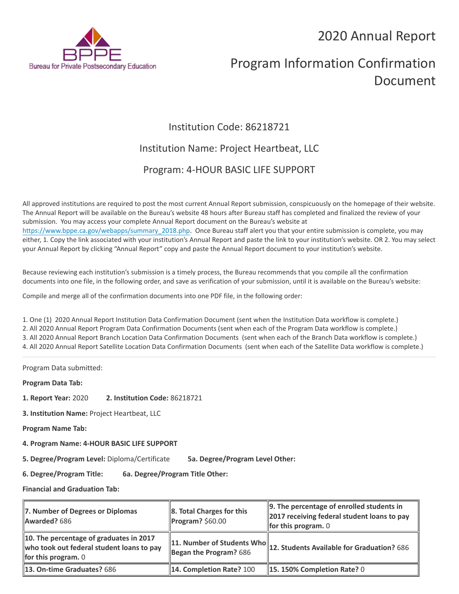## 2020 Annual Report



# Program Information Confirmation Document

### Institution Code: 86218721

### Institution Name: Project Heartbeat, LLC

### Program: 4-HOUR BASIC LIFE SUPPORT

All approved institutions are required to post the most current Annual Report submission, conspicuously on the homepage of their website. The Annual Report will be available on the Bureau's website 48 hours after Bureau staff has completed and finalized the review of your submission. You may access your complete Annual Report document on the Bureau's website at [https://www.bppe.ca.gov/webapps/summary\\_2018.php.](https://www.bppe.ca.gov/webapps/summary_2018.php) Once Bureau staff alert you that your entire submission is complete, you may either, 1. Copy the link associated with your institution's Annual Report and paste the link to your institution's website. OR 2. You may select your Annual Report by clicking "Annual Report" copy and paste the Annual Report document to your institution's website.

Because reviewing each institution's submission is a timely process, the Bureau recommends that you compile all the confirmation documents into one file, in the following order, and save as verification of your submission, until it is available on the Bureau's website:

Compile and merge all of the confirmation documents into one PDF file, in the following order:

1. One (1) 2020 Annual Report Institution Data Confirmation Document (sent when the Institution Data workflow is complete.) 2. All 2020 Annual Report Program Data Confirmation Documents (sent when each of the Program Data workflow is complete.) 3. All 2020 Annual Report Branch Location Data Confirmation Documents (sent when each of the Branch Data workflow is complete.) 4. All 2020 Annual Report Satellite Location Data Confirmation Documents (sent when each of the Satellite Data workflow is complete.)

Program Data submitted:

**Program Data Tab:**

- **1. Report Year:** 2020 **2. Institution Code:** 86218721
- **3. Institution Name:** Project Heartbeat, LLC
- **Program Name Tab:**
- **4. Program Name: 4-HOUR BASIC LIFE SUPPORT**

**5. Degree/Program Level:** Diploma/Certificate **5a. Degree/Program Level Other:**

**6. Degree/Program Title: 6a. Degree/Program Title Other:**

**Financial and Graduation Tab:**

| 7. Number of Degrees or Diplomas<br>Awarded? 686                                                              | $\ 8.$ Total Charges for this<br>$\blacksquare$ Program? \$60.00 | $\parallel$ 9. The percentage of enrolled students in<br>2017 receiving federal student loans to pay<br>for this program. $0$ |
|---------------------------------------------------------------------------------------------------------------|------------------------------------------------------------------|-------------------------------------------------------------------------------------------------------------------------------|
| 10. The percentage of graduates in 2017<br>who took out federal student loans to pay<br>for this program. $0$ | Began the Program? $686$                                         | $\ $ 11. Number of Students Who $\ $ 12. Students Available for Graduation? 686                                               |
| 13. On-time Graduates? 686                                                                                    | 14. Completion Rate? 100                                         | 15. 150% Completion Rate? 0                                                                                                   |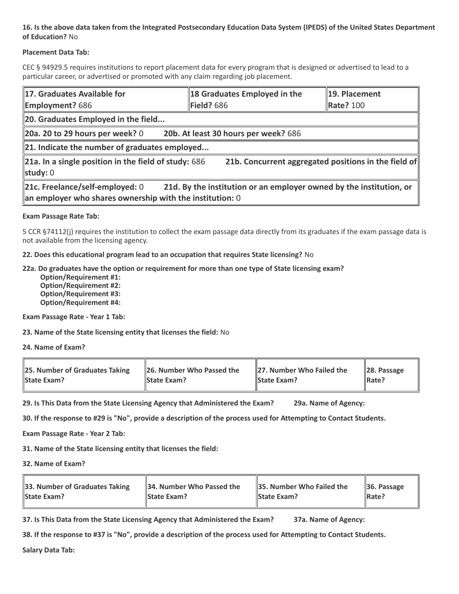### **16. Is the above data taken from the Integrated Postsecondary Education Data System (IPEDS) of the United States Department of Education?** No

#### **Placement Data Tab:**

CEC § 94929.5 requires institutions to report placement data for every program that is designed or advertised to lead to a particular career, or advertised or promoted with any claim regarding job placement.

| 17. Graduates Available for<br><b>Employment?</b> 686                                                                                                                | 18 Graduates Employed in the<br>$\blacktriangleright$ Field? 686 | 19. Placement<br><b>Rate? 100</b> |  |  |
|----------------------------------------------------------------------------------------------------------------------------------------------------------------------|------------------------------------------------------------------|-----------------------------------|--|--|
| 20. Graduates Employed in the field                                                                                                                                  |                                                                  |                                   |  |  |
| 20b. At least 30 hours per week? 686<br>20a. 20 to 29 hours per week? $0$                                                                                            |                                                                  |                                   |  |  |
| $\ $ 21. Indicate the number of graduates employed                                                                                                                   |                                                                  |                                   |  |  |
| $\ $ 21a. In a single position in the field of study: 686<br>21b. Concurrent aggregated positions in the field of<br>study: 0                                        |                                                                  |                                   |  |  |
| 21c. Freelance/self-employed: 0<br>21d. By the institution or an employer owned by the institution, or<br>an employer who shares ownership with the institution: $0$ |                                                                  |                                   |  |  |

#### **Exam Passage Rate Tab:**

5 CCR §74112(j) requires the institution to collect the exam passage data directly from its graduates if the exam passage data is not available from the licensing agency.

**22. Does this educational program lead to an occupation that requires State licensing?** No

#### **22a. Do graduates have the option or requirement for more than one type of State licensing exam?**

 **Option/Requirement #1: Option/Requirement #2: Option/Requirement #3: Option/Requirement #4:**

**Exam Passage Rate - Year 1 Tab:**

**23. Name of the State licensing entity that licenses the field:** No

**24. Name of Exam?**

| 25. Number of Graduates Taking | 26. Number Who Passed the | 27. Number Who Failed the | $\ $ 28. Passage |
|--------------------------------|---------------------------|---------------------------|------------------|
| <b>State Exam?</b>             | <b>State Exam?</b>        | <b>State Exam?</b>        | Rate?            |

**29. Is This Data from the State Licensing Agency that Administered the Exam? 29a. Name of Agency:**

**30. If the response to #29 is "No", provide a description of the process used for Attempting to Contact Students.**

**Exam Passage Rate - Year 2 Tab:**

**31. Name of the State licensing entity that licenses the field:**

**32. Name of Exam?**

| 33. Number of Graduates Taking | 34. Number Who Passed the | <b>35. Number Who Failed the</b> | $\parallel$ 36. Passage |
|--------------------------------|---------------------------|----------------------------------|-------------------------|
| <b>State Exam?</b>             | <b>State Exam?</b>        | <b>State Exam?</b>               | $\parallel$ Rate?       |

**37. Is This Data from the State Licensing Agency that Administered the Exam? 37a. Name of Agency:**

**38. If the response to #37 is "No", provide a description of the process used for Attempting to Contact Students.** 

**Salary Data Tab:**